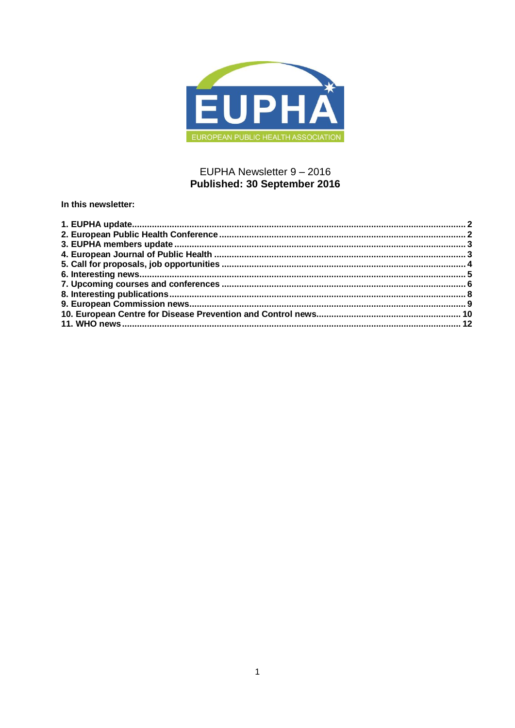

## EUPHA Newsletter 9 - 2016 Published: 30 September 2016

In this newsletter: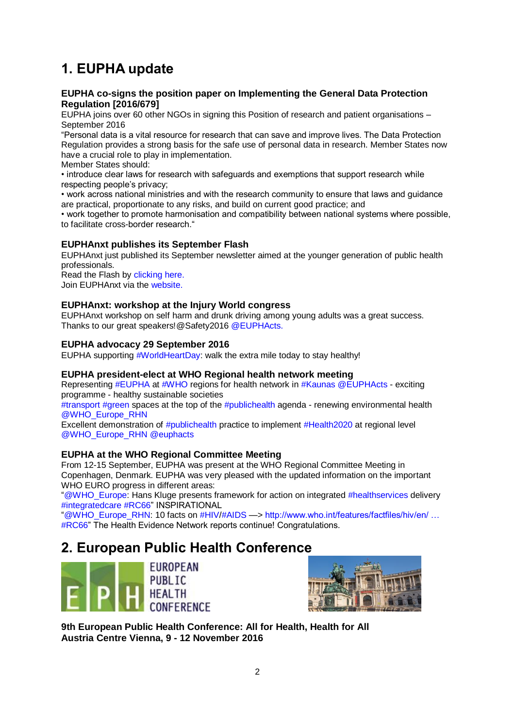# <span id="page-1-0"></span>**1. EUPHA update**

## **EUPHA co-signs the position paper on Implementing the General Data Protection Regulation [2016/679]**

EUPHA joins over 60 other NGOs in signing this Position of research and patient organisations – September 2016

"Personal data is a vital resource for research that can save and improve lives. The Data Protection Regulation provides a strong basis for the safe use of personal data in research. Member States now have a crucial role to play in implementation.

Member States should:

• introduce clear laws for research with safeguards and exemptions that support research while respecting people's privacy;

• work across national ministries and with the research community to ensure that laws and guidance are practical, proportionate to any risks, and build on current good practice; and

• work together to promote harmonisation and compatibility between national systems where possible, to facilitate cross-border research."

## **EUPHAnxt publishes its September Flash**

EUPHAnxt just published its September newsletter aimed at the younger generation of public health professionals.

Read the Flash by [clicking here.](https://eupha.org/euphanxt-flash) Join EUPHAnxt via the [website.](https://eupha.org/euphanxt)

## **EUPHAnxt: workshop at the Injury World congress**

EUPHAnxt workshop on self harm and drunk driving among young adults was a great success. Thanks to our great speakers!@Safety2016 [@EUPHActs.](http://euphapedia.eupha.org/newsletter/https:/twitter.com/EUPHActs)

## **EUPHA advocacy 29 September 2016**

EUPHA supporting [#WorldHeartDay:](https://twitter.com/hashtag/worldheartday) walk the extra mile today to stay healthy!

## **EUPHA president-elect at WHO Regional health network meeting**

Representing [#EUPHA](https://twitter.com/search?q=%23EUPHA) at [#WHO](https://twitter.com/who) regions for health network in [#Kaunas](https://twitter.com/hashtag/Kaunas?src=hash) [@EUPHActs](http://euphapedia.eupha.org/newsletter/https:/twitter.com/EUPHActs) - exciting programme - healthy sustainable societies

[#transport](https://twitter.com/hashtag/transport?src=hash) [#green](https://twitter.com/hashtag/green?src=hash) spaces at the top of the  $#$ publichealth agenda - renewing environmental health [@WHO\\_Europe\\_RHN](https://twitter.com/WHO_Europe_RHN)

Excellent demonstration of [#publichealth](https://twitter.com/hashtag/publichealth?src=hash) practice to implement [#Health2020](https://twitter.com/hashtag/Health2020?src=hash) at regional level [@WHO\\_Europe\\_RHN](https://twitter.com/WHO_Europe_RHN) [@euphacts](https://twitter.com/EUPHActs)

## **EUPHA at the WHO Regional Committee Meeting**

From 12-15 September, EUPHA was present at the WHO Regional Committee Meeting in Copenhagen, Denmark. EUPHA was very pleased with the updated information on the important WHO EURO progress in different areas:

["@WHO\\_Europe:](https://twitter.com/WHO_Europe) Hans Kluge presents framework for action on integrated [#healthservices](https://twitter.com/hashtag/healthservices?src=hash) delivery [#integratedcare](https://twitter.com/hashtag/integratedcare?src=hash) [#RC66"](https://twitter.com/hashtag/RC66?src=hash) INSPIRATIONAL

["@WHO\\_Europe\\_RHN:](https://twitter.com/WHO_Europe_RHN) 10 facts on [#HIV/](https://twitter.com/hashtag/HIV?src=hash)[#AIDS](https://twitter.com/hashtag/AIDS?src=hash) —> [http://www.who.int/features/factfiles/hiv/en/ …](http://euphapedia.eupha.org/newsletter/https:/t.co/S1QPCTqzXU) [#RC66"](http://euphapedia.eupha.org/newsletter/https:/twitter.com/hashtag/RC66?src=hash) The Health Evidence Network reports continue! Congratulations.

## <span id="page-1-1"></span>**2. European Public Health Conference**





**9th European Public Health Conference: All for Health, Health for All Austria Centre Vienna, 9 - 12 November 2016**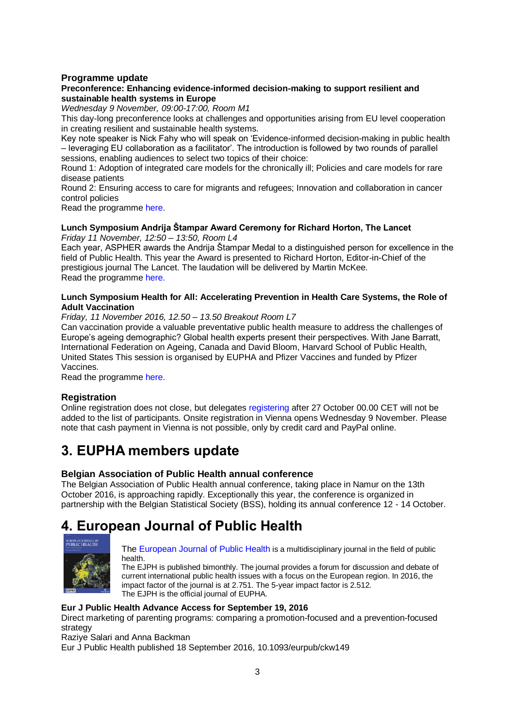## **Programme update**

## **Preconference: Enhancing evidence-informed decision-making to support resilient and sustainable health systems in Europe**

*Wednesday 9 November, 09:00-17:00, Room M1*

This day-long preconference looks at challenges and opportunities arising from EU level cooperation in creating resilient and sustainable health systems.

Key note speaker is Nick Fahy who will speak on 'Evidence-informed decision-making in public health – leveraging EU collaboration as a facilitator'. The introduction is followed by two rounds of parallel sessions, enabling audiences to select two topics of their choice:

Round 1: Adoption of integrated care models for the chronically ill; Policies and care models for rare disease patients

Round 2: Ensuring access to care for migrants and refugees; Innovation and collaboration in cancer control policies

Read the programme [here.](https://ephconference.eu/2016-pre-conference-programme-275)

#### **Lunch Symposium Andrija Štampar Award Ceremony for Richard Horton, The Lancet** *Friday 11 November, 12:50 – 13:50, Room L4*

Each year, ASPHER awards the Andrija Štampar Medal to a distinguished person for excellence in the field of Public Health. This year the Award is presented to Richard Horton, Editor-in-Chief of the prestigious journal The Lancet. The laudation will be delivered by Martin McKee. Read the programme [here.](https://ephconference.eu/lunch-symposiums-208)

#### **Lunch Symposium Health for All: Accelerating Prevention in Health Care Systems, the Role of Adult Vaccination**

*Friday, 11 November 2016, 12.50 – 13.50 Breakout Room L7* 

Can vaccination provide a valuable preventative public health measure to address the challenges of Europe's ageing demographic? Global health experts present their perspectives. With Jane Barratt, International Federation on Ageing, Canada and David Bloom, Harvard School of Public Health, United States This session is organised by EUPHA and Pfizer Vaccines and funded by Pfizer Vaccines.

Read the programme [here.](https://ephconference.eu/lunch-symposiums-208)

## **Registration**

Online registration does not close, but delegate[s registering](https://ephconference.eu/registration---register-22) after 27 October 00.00 CET will not be added to the list of participants. Onsite registration in Vienna opens Wednesday 9 November. Please note that cash payment in Vienna is not possible, only by credit card and PayPal online.

# <span id="page-2-0"></span>**3. EUPHA members update**

## **Belgian Association of Public Health annual conference**

The Belgian Association of Public Health annual conference, taking place in Namur on the 13th October 2016, is approaching rapidly. Exceptionally this year, the conference is organized in partnership with the Belgian Statistical Society (BSS), holding its annual conference 12 - 14 October.

## <span id="page-2-1"></span>**4. European Journal of Public Health**



[The European Journal of Public Health](http://eurpub.oxfordjournals.org/) is a multidisciplinary journal in the field of public health.

The EJPH is published bimonthly. The journal provides a forum for discussion and debate of current international public health issues with a focus on the European region. In 2016, the impact factor of the journal is at 2.751. The 5-year impact factor is 2.512. The EJPH is the official journal of EUPHA.

## **Eur J Public Health Advance Access for September 19, 2016**

Direct marketing of parenting programs: comparing a promotion-focused and a prevention-focused strategy

Raziye Salari and Anna Backman

Eur J Public Health published 18 September 2016, 10.1093/eurpub/ckw149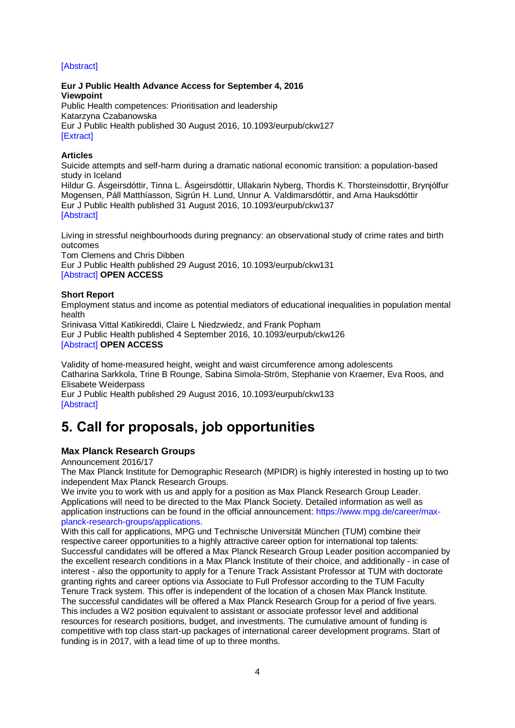## [\[Abstract\]](http://eurpub.oxfordjournals.org/content/early/2016/09/16/eurpub.ckw149.abstract?papetoc)

**Eur J Public Health Advance Access for September 4, 2016 Viewpoint** Public Health competences: Prioritisation and leadership Katarzyna Czabanowska Eur J Public Health published 30 August 2016, 10.1093/eurpub/ckw127 [\[Extract\]](http://eurpub.oxfordjournals.org/content/early/2016/08/30/eurpub.ckw127.extract?papetoc)

## **Articles**

Suicide attempts and self-harm during a dramatic national economic transition: a population-based study in Iceland Hildur G. Ásgeirsdóttir, Tinna L. Ásgeirsdóttir, Ullakarin Nyberg, Thordis K. Thorsteinsdottir, Brynjólfur Mogensen, Páll Matthíasson, Sigrún H. Lund, Unnur A. Valdimarsdóttir, and Arna Hauksdóttir Eur J Public Health published 31 August 2016, 10.1093/eurpub/ckw137 [\[Abstract\]](http://eurpub.oxfordjournals.org/content/early/2016/08/31/eurpub.ckw137.abstract?papetoc)

Living in stressful neighbourhoods during pregnancy: an observational study of crime rates and birth outcomes Tom Clemens and Chris Dibben Eur J Public Health published 29 August 2016, 10.1093/eurpub/ckw131 [\[Abstract\]](http://eurpub.oxfordjournals.org/content/early/2016/08/27/eurpub.ckw131.abstract?papetoc) **OPEN ACCESS**

## **Short Report**

Employment status and income as potential mediators of educational inequalities in population mental health

Srinivasa Vittal Katikireddi, Claire L Niedzwiedz, and Frank Popham Eur J Public Health published 4 September 2016, 10.1093/eurpub/ckw126 [\[Abstract\]](http://eurpub.oxfordjournals.org/content/early/2016/09/02/eurpub.ckw126.abstract?papetoc) **OPEN ACCESS**

Validity of home-measured height, weight and waist circumference among adolescents Catharina Sarkkola, Trine B Rounge, Sabina Simola-Ström, Stephanie von Kraemer, Eva Roos, and Elisabete Weiderpass Eur J Public Health published 29 August 2016, 10.1093/eurpub/ckw133

[\[Abstract\]](http://eurpub.oxfordjournals.org/content/early/2016/08/27/eurpub.ckw133.abstract?papetoc)

## <span id="page-3-0"></span>**5. Call for proposals, job opportunities**

## **Max Planck Research Groups**

Announcement 2016/17

The Max Planck Institute for Demographic Research (MPIDR) is highly interested in hosting up to two independent Max Planck Research Groups.

We invite you to work with us and apply for a position as Max Planck Research Group Leader. Applications will need to be directed to the Max Planck Society. Detailed information as well as application instructions can be found in the official announcement: [https://www.mpg.de/career/max](https://www.mpg.de/career/max-planck-research-groups/applications)[planck-research-groups/applications.](https://www.mpg.de/career/max-planck-research-groups/applications)

With this call for applications, MPG und Technische Universität München (TUM) combine their respective career opportunities to a highly attractive career option for international top talents: Successful candidates will be offered a Max Planck Research Group Leader position accompanied by the excellent research conditions in a Max Planck Institute of their choice, and additionally - in case of interest - also the opportunity to apply for a Tenure Track Assistant Professor at TUM with doctorate granting rights and career options via Associate to Full Professor according to the TUM Faculty Tenure Track system. This offer is independent of the location of a chosen Max Planck Institute. The successful candidates will be offered a Max Planck Research Group for a period of five years. This includes a W2 position equivalent to assistant or associate professor level and additional resources for research positions, budget, and investments. The cumulative amount of funding is competitive with top class start-up packages of international career development programs. Start of funding is in 2017, with a lead time of up to three months.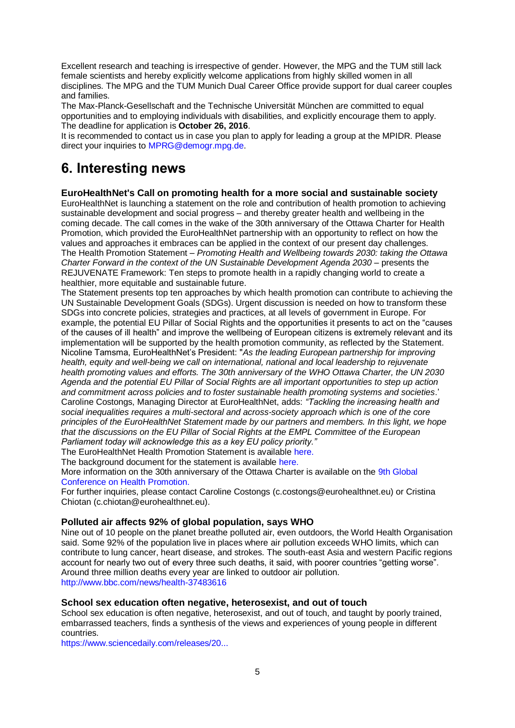Excellent research and teaching is irrespective of gender. However, the MPG and the TUM still lack female scientists and hereby explicitly welcome applications from highly skilled women in all disciplines. The MPG and the TUM Munich Dual Career Office provide support for dual career couples and families.

The Max-Planck-Gesellschaft and the Technische Universität München are committed to equal opportunities and to employing individuals with disabilities, and explicitly encourage them to apply. The deadline for application is **October 26, 2016**.

It is recommended to contact us in case you plan to apply for leading a group at the MPIDR. Please direct your inquiries to [MPRG@demogr.mpg.de.](mailto:MPRG@demogr.mpg.de)

## <span id="page-4-0"></span>**6. Interesting news**

## **EuroHealthNet's Call on promoting health for a more social and sustainable society**

EuroHealthNet is launching a statement on the role and contribution of health promotion to achieving sustainable development and social progress – and thereby greater health and wellbeing in the coming decade. The call comes in the wake of the 30th anniversary of the Ottawa Charter for Health Promotion, which provided the EuroHealthNet partnership with an opportunity to reflect on how the values and approaches it embraces can be applied in the context of our present day challenges. The Health Promotion Statement – *Promoting Health and Wellbeing towards 2030: taking the Ottawa Charter Forward in the context of the UN Sustainable Development Agenda 2030* – presents the REJUVENATE Framework: Ten steps to promote health in a rapidly changing world to create a healthier, more equitable and sustainable future.

The Statement presents top ten approaches by which health promotion can contribute to achieving the UN Sustainable Development Goals (SDGs). Urgent discussion is needed on how to transform these SDGs into concrete policies, strategies and practices, at all levels of government in Europe. For example, the potential EU Pillar of Social Rights and the opportunities it presents to act on the "causes of the causes of ill health" and improve the wellbeing of European citizens is extremely relevant and its implementation will be supported by the health promotion community, as reflected by the Statement. Nicoline Tamsma, EuroHealthNet's President: "*As the leading European partnership for improving health, equity and well-being we call on international, national and local leadership to rejuvenate health promoting values and efforts. The 30th anniversary of the WHO Ottawa Charter, the UN 2030 Agenda and the potential EU Pillar of Social Rights are all important opportunities to step up action and commitment across policies and to foster sustainable health promoting systems and societies*.' Caroline Costongs, Managing Director at EuroHealthNet, adds: *"Tackling the increasing health and social inequalities requires a multi-sectoral and across-society approach which is one of the core principles of the EuroHealthNet Statement made by our partners and members. In this light, we hope that the discussions on the EU Pillar of Social Rights at the EMPL Committee of the European Parliament today will acknowledge this as a key EU policy priority."*

The EuroHealthNet Health Promotion Statement is available [here.](http://eurohealthnet.eu/sites/eurohealthnet.eu/files/press-release/EuroHealthNet%20Health%20Promotion%20Statement%20-%20Short.pdf)

The background document for the statement is available [here.](http://eurohealthnet.eu/sites/eurohealthnet.eu/files/publications/EuroHealthNet%20Health%20Promotion%20Statement%20-%20Long_0.pdf)

More information on the 30th anniversary of the Ottawa Charter is available on the [9th Global](http://www.who.int/healthpromotion/conferences/9gchp/en/)  [Conference on Health Promotion.](http://www.who.int/healthpromotion/conferences/9gchp/en/)

For further inquiries, please contact Caroline Costongs (c.costongs@eurohealthnet.eu) or Cristina Chiotan (c.chiotan@eurohealthnet.eu).

## **Polluted air affects 92% of global population, says WHO**

Nine out of 10 people on the planet breathe polluted air, even outdoors, the World Health Organisation said. Some 92% of the population live in places where air pollution exceeds WHO limits, which can contribute to lung cancer, heart disease, and strokes. The south-east Asia and western Pacific regions account for nearly two out of every three such deaths, it said, with poorer countries "getting worse". Around three million deaths every year are linked to outdoor air pollution. <http://www.bbc.com/news/health-37483616>

## **School sex education often negative, heterosexist, and out of touch**

School sex education is often negative, heterosexist, and out of touch, and taught by poorly trained, embarrassed teachers, finds a synthesis of the views and experiences of young people in different countries.

[https://www.sciencedaily.com/releases/20...](https://www.sciencedaily.com/releases/2016/09/160912192953.htm?utm_source=feedburner&utm_medium=email&utm_campaign=Feed%3A+sciencedaily%2Fscience_society%2Fpublic_health+%28Public+Health+News+--+Scien)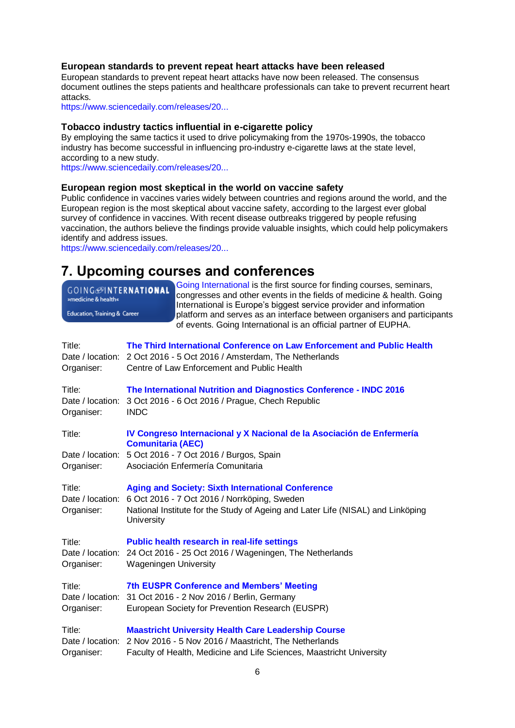## **European standards to prevent repeat heart attacks have been released**

European standards to prevent repeat heart attacks have now been released. The consensus document outlines the steps patients and healthcare professionals can take to prevent recurrent heart attacks.

[https://www.sciencedaily.com/releases/20...](https://www.sciencedaily.com/releases/2016/09/160906213141.htm?utm_source=feedburner&utm_medium=email&utm_campaign=Feed%3A+sciencedaily%2Fscience_society%2Fpublic_health+%28Public+Health+News+--+Scien)

### **Tobacco industry tactics influential in e-cigarette policy**

By employing the same tactics it used to drive policymaking from the 1970s-1990s, the tobacco industry has become successful in influencing pro-industry e-cigarette laws at the state level, according to a new study.

[https://www.sciencedaily.com/releases/20...](https://www.sciencedaily.com/releases/2016/09/160915090026.htm?utm_source=feedburner&utm_medium=email&utm_campaign=Feed%3A+sciencedaily%2Fscience_society%2Fpublic_health+%28Public+Health+News+--+Scien)

## **European region most skeptical in the world on vaccine safety**

Public confidence in vaccines varies widely between countries and regions around the world, and the European region is the most skeptical about vaccine safety, according to the largest ever global survey of confidence in vaccines. With recent disease outbreaks triggered by people refusing vaccination, the authors believe the findings provide valuable insights, which could help policymakers identify and address issues.

[https://www.sciencedaily.com/releases/20...](https://www.sciencedaily.com/releases/2016/09/160908203911.htm?utm_source=feedburner&utm_medium=email&utm_campaign=Feed%3A+sciencedaily%2Fscience_society%2Fpublic_health+%28Public+Health+News+--+Scien)

## <span id="page-5-0"></span>**7. Upcoming courses and conferences**

| Going International is the first source for finding courses, seminars,<br><b>GOING</b> @INTERNATIONAL<br>congresses and other events in the fields of medicine & health. Going<br>International is Europe's biggest service provider and information<br>Education, Training & Career<br>platform and serves as an interface between organisers and participants<br>of events. Going International is an official partner of EUPHA. |
|------------------------------------------------------------------------------------------------------------------------------------------------------------------------------------------------------------------------------------------------------------------------------------------------------------------------------------------------------------------------------------------------------------------------------------|
| The Third International Conference on Law Enforcement and Public Health<br>Date / location: 2 Oct 2016 - 5 Oct 2016 / Amsterdam, The Netherlands<br>Centre of Law Enforcement and Public Health                                                                                                                                                                                                                                    |
| The International Nutrition and Diagnostics Conference - INDC 2016<br>3 Oct 2016 - 6 Oct 2016 / Prague, Chech Republic<br><b>INDC</b>                                                                                                                                                                                                                                                                                              |
| IV Congreso Internacional y X Nacional de la Asociación de Enfermería<br><b>Comunitaria (AEC)</b>                                                                                                                                                                                                                                                                                                                                  |
| 5 Oct 2016 - 7 Oct 2016 / Burgos, Spain<br>Asociación Enfermería Comunitaria                                                                                                                                                                                                                                                                                                                                                       |
| <b>Aging and Society: Sixth International Conference</b><br>6 Oct 2016 - 7 Oct 2016 / Norrköping, Sweden<br>National Institute for the Study of Ageing and Later Life (NISAL) and Linköping<br><b>University</b>                                                                                                                                                                                                                   |
| <b>Public health research in real-life settings</b><br>Date / location:<br>24 Oct 2016 - 25 Oct 2016 / Wageningen, The Netherlands<br><b>Wageningen University</b>                                                                                                                                                                                                                                                                 |
| <b>7th EUSPR Conference and Members' Meeting</b><br>Date / location: 31 Oct 2016 - 2 Nov 2016 / Berlin, Germany<br>European Society for Prevention Research (EUSPR)                                                                                                                                                                                                                                                                |
| <b>Maastricht University Health Care Leadership Course</b><br>2 Nov 2016 - 5 Nov 2016 / Maastricht, The Netherlands<br>Faculty of Health, Medicine and Life Sciences, Maastricht University                                                                                                                                                                                                                                        |
| Date / location:<br>Date / location:                                                                                                                                                                                                                                                                                                                                                                                               |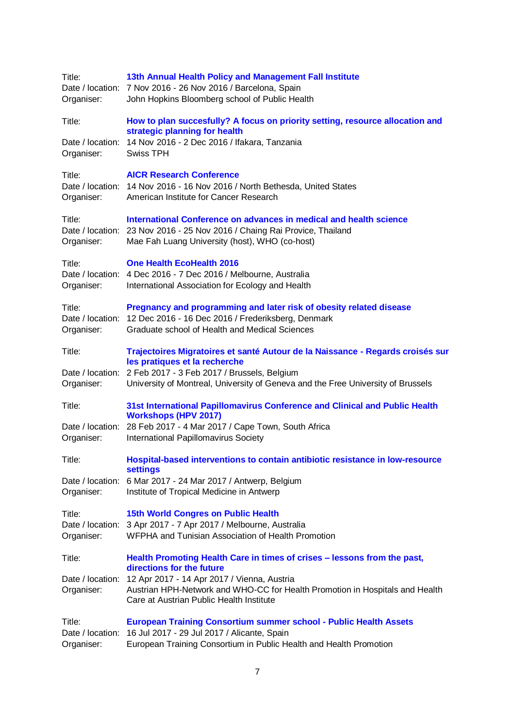| Title:<br>Date / location:<br>Organiser: | 13th Annual Health Policy and Management Fall Institute<br>7 Nov 2016 - 26 Nov 2016 / Barcelona, Spain<br>John Hopkins Bloomberg school of Public Health                                             |
|------------------------------------------|------------------------------------------------------------------------------------------------------------------------------------------------------------------------------------------------------|
| Title:                                   | How to plan succesfully? A focus on priority setting, resource allocation and                                                                                                                        |
| Date / location:<br>Organiser:           | strategic planning for health<br>14 Nov 2016 - 2 Dec 2016 / Ifakara, Tanzania<br><b>Swiss TPH</b>                                                                                                    |
| Title:<br>Organiser:                     | <b>AICR Research Conference</b><br>Date / location: 14 Nov 2016 - 16 Nov 2016 / North Bethesda, United States<br>American Institute for Cancer Research                                              |
| Title:<br>Organiser:                     | International Conference on advances in medical and health science<br>Date / location: 23 Nov 2016 - 25 Nov 2016 / Chaing Rai Provice, Thailand<br>Mae Fah Luang University (host), WHO (co-host)    |
| Title:<br>Date / location:<br>Organiser: | <b>One Health EcoHealth 2016</b><br>4 Dec 2016 - 7 Dec 2016 / Melbourne, Australia<br>International Association for Ecology and Health                                                               |
| Title:<br>Date / location:<br>Organiser: | Pregnancy and programming and later risk of obesity related disease<br>12 Dec 2016 - 16 Dec 2016 / Frederiksberg, Denmark<br>Graduate school of Health and Medical Sciences                          |
| Title:                                   | Trajectoires Migratoires et santé Autour de la Naissance - Regards croisés sur                                                                                                                       |
| Date / location:<br>Organiser:           | les pratiques et la recherche<br>2 Feb 2017 - 3 Feb 2017 / Brussels, Belgium<br>University of Montreal, University of Geneva and the Free University of Brussels                                     |
| Title:                                   | 31st International Papillomavirus Conference and Clinical and Public Health                                                                                                                          |
| Organiser:                               | <b>Workshops (HPV 2017)</b><br>Date / location: 28 Feb 2017 - 4 Mar 2017 / Cape Town, South Africa<br>International Papillomavirus Society                                                           |
| Title:                                   | Hospital-based interventions to contain antibiotic resistance in low-resource                                                                                                                        |
| Date / location:<br>Organiser:           | <b>settings</b><br>6 Mar 2017 - 24 Mar 2017 / Antwerp, Belgium<br>Institute of Tropical Medicine in Antwerp                                                                                          |
| Title:<br>Organiser:                     | <b>15th World Congres on Public Health</b><br>Date / location: 3 Apr 2017 - 7 Apr 2017 / Melbourne, Australia<br>WFPHA and Tunisian Association of Health Promotion                                  |
| Title:                                   | Health Promoting Health Care in times of crises - lessons from the past,                                                                                                                             |
| Date / location:<br>Organiser:           | directions for the future<br>12 Apr 2017 - 14 Apr 2017 / Vienna, Austria<br>Austrian HPH-Network and WHO-CC for Health Promotion in Hospitals and Health<br>Care at Austrian Public Health Institute |
| Title:<br>Date / location:<br>Organiser: | <b>European Training Consortium summer school - Public Health Assets</b><br>16 Jul 2017 - 29 Jul 2017 / Alicante, Spain<br>European Training Consortium in Public Health and Health Promotion        |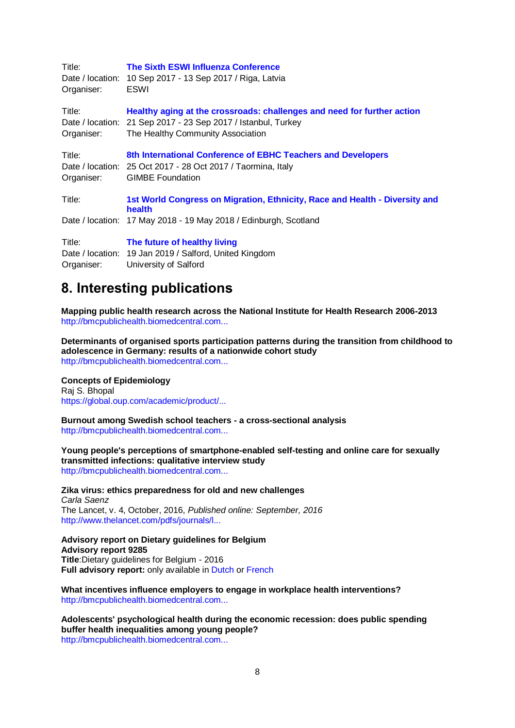| Title:<br>Date / location:<br>Organiser: | <b>The Sixth ESWI Influenza Conference</b><br>10 Sep 2017 - 13 Sep 2017 / Riga, Latvia<br>ESWI                                                                                |
|------------------------------------------|-------------------------------------------------------------------------------------------------------------------------------------------------------------------------------|
| Title:<br>Organiser:                     | Healthy aging at the crossroads: challenges and need for further action<br>Date / location: 21 Sep 2017 - 23 Sep 2017 / Istanbul, Turkey<br>The Healthy Community Association |
| Title:<br>Organiser:                     | 8th International Conference of EBHC Teachers and Developers<br>Date / location: 25 Oct 2017 - 28 Oct 2017 / Taormina, Italy<br><b>GIMBE Foundation</b>                       |
| Title:                                   | 1st World Congress on Migration, Ethnicity, Race and Health - Diversity and<br>health                                                                                         |
|                                          | Date / location: 17 May 2018 - 19 May 2018 / Edinburgh, Scotland                                                                                                              |
| Title:                                   | The future of healthy living                                                                                                                                                  |
|                                          | Date / location: 19 Jan 2019 / Salford, United Kingdom                                                                                                                        |
| Organiser:                               | University of Salford                                                                                                                                                         |

## <span id="page-7-0"></span>**8. Interesting publications**

**Mapping public health research across the National Institute for Health Research 2006-2013** [http://bmcpublichealth.biomedcentral.com...](http://bmcpublichealth.biomedcentral.com/articles/10.1186/s12889-016-3521-z#Abs1)

**Determinants of organised sports participation patterns during the transition from childhood to adolescence in Germany: results of a nationwide cohort study** [http://bmcpublichealth.biomedcentral.com...](http://bmcpublichealth.biomedcentral.com/articles/10.1186/s12889-016-3615-7#Abs1)

## **Concepts of Epidemiology**

Raj S. Bhopal [https://global.oup.com/academic/product/...](https://global.oup.com/academic/product/concepts-of-epidemiology-9780198739685)

**Burnout among Swedish school teachers - a cross-sectional analysis** [http://bmcpublichealth.biomedcentral.com...](http://bmcpublichealth.biomedcentral.com/articles/10.1186/s12889-016-3498-7#Abs1)

**Young people's perceptions of smartphone-enabled self-testing and online care for sexually transmitted infections: qualitative interview study** [http://bmcpublichealth.biomedcentral.com...](http://bmcpublichealth.biomedcentral.com/articles/10.1186/s12889-016-3648-y#Abs1)

**Zika virus: ethics preparedness for old and new challenges** *Carla Saenz* The Lancet, v. 4, October, 2016, *Published online: September, 2016* [http://www.thelancet.com/pdfs/journals/l...](http://www.thelancet.com/pdfs/journals/langlo/PIIS2214-109X(16)30222-4.pdf)

**Advisory report on Dietary guidelines for Belgium Advisory report 9285 Title**:Dietary guidelines for Belgium - 2016 **Full advisory report:** only available in [Dutch](http://www.health.belgium.be/nl/advies-9285-voedingsaanbevelingen-voor-belgie-2016) or [French](http://www.health.belgium.be/fr/avis-9285-recommandations-nutritionnelles-pour-la-belgique-2016)

**What incentives influence employers to engage in workplace health interventions?** [http://bmcpublichealth.biomedcentral.com...](http://bmcpublichealth.biomedcentral.com/articles/10.1186/s12889-016-3534-7#Abs1)

**Adolescents' psychological health during the economic recession: does public spending buffer health inequalities among young people?** [http://bmcpublichealth.biomedcentral.com...](http://bmcpublichealth.biomedcentral.com/articles/10.1186/s12889-016-3551-6#Abs1)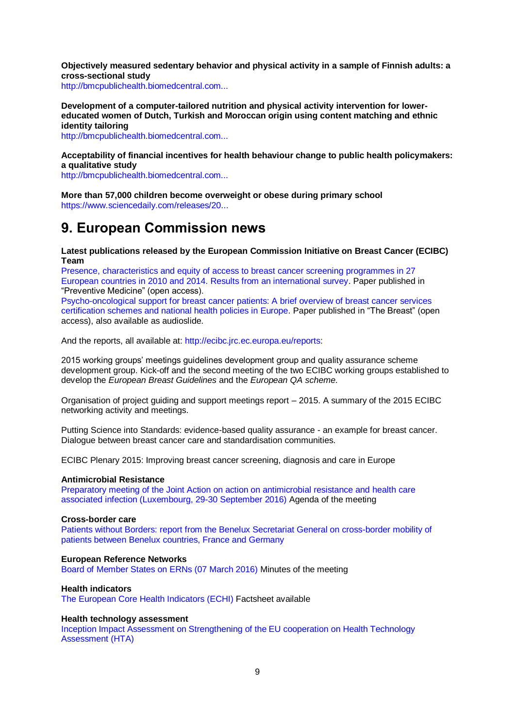**Objectively measured sedentary behavior and physical activity in a sample of Finnish adults: a cross-sectional study**

[http://bmcpublichealth.biomedcentral.com...](http://bmcpublichealth.biomedcentral.com/articles/10.1186/s12889-016-3591-y#Abs1)

**Development of a computer-tailored nutrition and physical activity intervention for lowereducated women of Dutch, Turkish and Moroccan origin using content matching and ethnic identity tailoring**

[http://bmcpublichealth.biomedcentral.com...](http://bmcpublichealth.biomedcentral.com/articles/10.1186/s12889-016-3596-6#Abs1)

**Acceptability of financial incentives for health behaviour change to public health policymakers: a qualitative study**

[http://bmcpublichealth.biomedcentral.com...](http://bmcpublichealth.biomedcentral.com/articles/10.1186/s12889-016-3646-0#Abs1)

**More than 57,000 children become overweight or obese during primary school** [https://www.sciencedaily.com/releases/20...](https://www.sciencedaily.com/releases/2016/08/160831223916.htm?utm_source=feedburner&utm_medium=email&utm_campaign=Feed%3A+sciencedaily%2Fscience_society%2Fpublic_health+%28Public+Health+News+--+Scien)

## <span id="page-8-0"></span>**9. European Commission news**

**Latest publications released by the European Commission Initiative on Breast Cancer (ECIBC) Team**

Presence, [characteristics and equity of access to breast cancer screening programmes in 27](http://ecibc.jrc.ec.europa.eu/-/free-universal-breast-cancer-screening-in-europe-when-where-and-how-)  [European countries in 2010 and 2014. Results from an international survey.](http://ecibc.jrc.ec.europa.eu/-/free-universal-breast-cancer-screening-in-europe-when-where-and-how-) Paper published in "Preventive Medicine" (open access).

[Psycho-oncological support for breast cancer patients: A brief overview of breast cancer services](http://ecibc.jrc.ec.europa.eu/-/new-paper-published-psycho-oncological-support-for-breast-cancer-patients)  [certification schemes and national health policies in Europe.](http://ecibc.jrc.ec.europa.eu/-/new-paper-published-psycho-oncological-support-for-breast-cancer-patients) Paper published in "The Breast" (open access), also available as audioslide.

And the reports, all available at[: http://ecibc.jrc.ec.europa.eu/reports:](http://ecibc.jrc.ec.europa.eu/reports)

2015 working groups' meetings guidelines development group and quality assurance scheme development group. Kick-off and the second meeting of the two ECIBC working groups established to develop the *European Breast Guidelines* and the *European QA scheme*.

Organisation of project guiding and support meetings report – 2015. A summary of the 2015 ECIBC networking activity and meetings.

Putting Science into Standards: evidence-based quality assurance - an example for breast cancer. Dialogue between breast cancer care and standardisation communities.

ECIBC Plenary 2015: Improving breast cancer screening, diagnosis and care in Europe

#### **Antimicrobial Resistance**

[Preparatory meeting of the Joint Action on action on antimicrobial resistance and](http://ec.europa.eu/dgs/health_food-safety/amr/docs/ev_20160930_ag_en.pdf) health care [associated infection \(Luxembourg, 29-30 September 2016\)](http://ec.europa.eu/dgs/health_food-safety/amr/docs/ev_20160930_ag_en.pdf) Agenda of the meeting

#### **Cross-border care**

[Patients without Borders: report from the Benelux Secretariat General on cross-border mobility of](http://www.benelux.int/fr/publications/publications/patients-sans-frontieres-flux-de-patients-transfrontaliers-dans-le-benelux/)  [patients between Benelux countries, France and Germany](http://www.benelux.int/fr/publications/publications/patients-sans-frontieres-flux-de-patients-transfrontaliers-dans-le-benelux/)

#### **European Reference Networks**

[Board of Member States on ERNs \(07 March 2016\)](http://ec.europa.eu/health/ern/docs/ev_20160307_mi_en.pdf) Minutes of the meeting

#### **Health indicators**

[The European Core Health Indicators \(ECHI\)](http://ec.europa.eu/health/indicators/publications/index_en.htm) Factsheet available

#### **Health technology assessment**

[Inception Impact Assessment on Strengthening of the EU cooperation on Health Technology](http://ec.europa.eu/smart-regulation/roadmaps/docs/2016_sante_144_health_technology_assessments_en.pdf)  [Assessment \(HTA\)](http://ec.europa.eu/smart-regulation/roadmaps/docs/2016_sante_144_health_technology_assessments_en.pdf)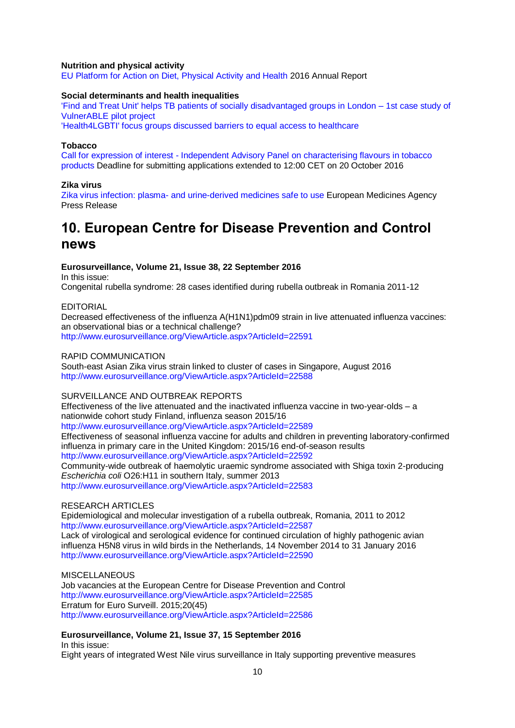#### **Nutrition and physical activity**

[EU Platform for Action on Diet, Physical Activity and Health](http://ec.europa.eu/health/nutrition_physical_activity/key_documents/index_en.htm#anchor0) 2016 Annual Report

#### **Social determinants and health inequalities**

['Find and Treat Unit' helps TB patients of socially disadvantaged groups in London –](http://ec.europa.eu/health/social_determinants/projects/ep_funded_projects_en.htm#fragment0) 1st case study of [VulnerABLE pilot project](http://ec.europa.eu/health/social_determinants/projects/ep_funded_projects_en.htm#fragment0)

['Health4LGBTI' focus groups discussed barriers to equal access to healthcare](http://ec.europa.eu/health/social_determinants/projects/ep_funded_projects_en.htm#fragment2)

#### **Tobacco**

Call for expression of interest - [Independent Advisory Panel on characterising flavours in tobacco](http://ec.europa.eu/dgs/health_food-safety/dyna/enews/enews.cfm?al_id=1713)  [products](http://ec.europa.eu/dgs/health_food-safety/dyna/enews/enews.cfm?al_id=1713) Deadline for submitting applications extended to 12:00 CET on 20 October 2016

#### **Zika virus**

Zika virus infection: plasma- [and urine-derived medicines safe to use](http://www.ema.europa.eu/ema/index.jsp?curl=pages/news_and_events/news/2016/09/news_detail_002606.jspandmid=WC0b01ac058004d5c1) European Medicines Agency Press Release

## <span id="page-9-0"></span>**10. European Centre for Disease Prevention and Control news**

#### **Eurosurveillance, Volume 21, Issue 38, 22 September 2016**

In this issue: Congenital rubella syndrome: 28 cases identified during rubella outbreak in Romania 2011-12

#### EDITORIAL

Decreased effectiveness of the influenza A(H1N1)pdm09 strain in live attenuated influenza vaccines: an observational bias or a technical challenge? <http://www.eurosurveillance.org/ViewArticle.aspx?ArticleId=22591>

### RAPID COMMUNICATION

South-east Asian Zika virus strain linked to cluster of cases in Singapore, August 2016 <http://www.eurosurveillance.org/ViewArticle.aspx?ArticleId=22588>

## SURVEILLANCE AND OUTBREAK REPORTS

Effectiveness of the live attenuated and the inactivated influenza vaccine in two-year-olds – a nationwide cohort study Finland, influenza season 2015/16 <http://www.eurosurveillance.org/ViewArticle.aspx?ArticleId=22589> Effectiveness of seasonal influenza vaccine for adults and children in preventing laboratory-confirmed influenza in primary care in the United Kingdom: 2015/16 end-of-season results <http://www.eurosurveillance.org/ViewArticle.aspx?ArticleId=22592> Community-wide outbreak of haemolytic uraemic syndrome associated with Shiga toxin 2-producing *Escherichia coli* O26:H11 in southern Italy, summer 2013 <http://www.eurosurveillance.org/ViewArticle.aspx?ArticleId=22583>

## RESEARCH ARTICLES

Epidemiological and molecular investigation of a rubella outbreak, Romania, 2011 to 2012 <http://www.eurosurveillance.org/ViewArticle.aspx?ArticleId=22587> Lack of virological and serological evidence for continued circulation of highly pathogenic avian influenza H5N8 virus in wild birds in the Netherlands, 14 November 2014 to 31 January 2016 <http://www.eurosurveillance.org/ViewArticle.aspx?ArticleId=22590>

**MISCELLANEOUS** Job vacancies at the European Centre for Disease Prevention and Control <http://www.eurosurveillance.org/ViewArticle.aspx?ArticleId=22585> Erratum for Euro Surveill. 2015;20(45) <http://www.eurosurveillance.org/ViewArticle.aspx?ArticleId=22586>

## **Eurosurveillance, Volume 21, Issue 37, 15 September 2016**

In this issue:

Eight years of integrated West Nile virus surveillance in Italy supporting preventive measures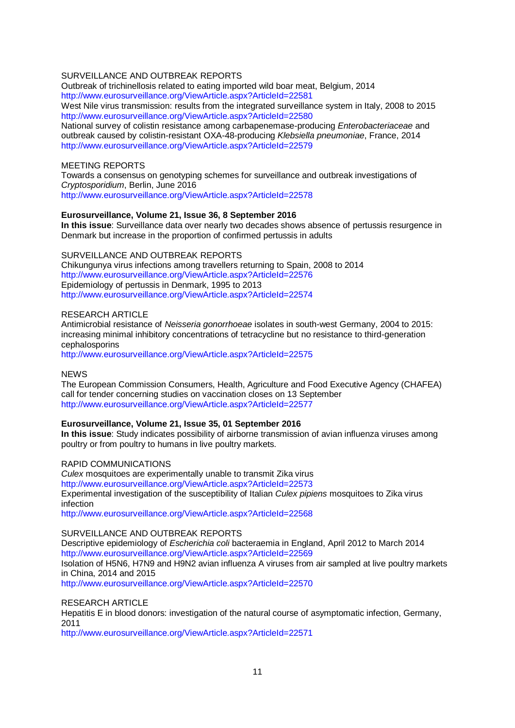### SURVEILLANCE AND OUTBREAK REPORTS

Outbreak of trichinellosis related to eating imported wild boar meat, Belgium, 2014 <http://www.eurosurveillance.org/ViewArticle.aspx?ArticleId=22581> West Nile virus transmission: results from the integrated surveillance system in Italy, 2008 to 2015 <http://www.eurosurveillance.org/ViewArticle.aspx?ArticleId=22580>

National survey of colistin resistance among carbapenemase-producing *Enterobacteriaceae* and outbreak caused by colistin-resistant OXA-48-producing *Klebsiella pneumoniae*, France, 2014 <http://www.eurosurveillance.org/ViewArticle.aspx?ArticleId=22579>

### MEETING REPORTS

Towards a consensus on genotyping schemes for surveillance and outbreak investigations of *Cryptosporidium*, Berlin, June 2016 <http://www.eurosurveillance.org/ViewArticle.aspx?ArticleId=22578>

#### **Eurosurveillance, Volume 21, Issue 36, 8 September 2016**

**In this issue**: Surveillance data over nearly two decades shows absence of pertussis resurgence in Denmark but increase in the proportion of confirmed pertussis in adults

#### SURVEILLANCE AND OUTBREAK REPORTS

Chikungunya virus infections among travellers returning to Spain, 2008 to 2014 <http://www.eurosurveillance.org/ViewArticle.aspx?ArticleId=22576> Epidemiology of pertussis in Denmark, 1995 to 2013 <http://www.eurosurveillance.org/ViewArticle.aspx?ArticleId=22574>

#### RESEARCH ARTICLE

Antimicrobial resistance of *Neisseria gonorrhoeae* isolates in south-west Germany, 2004 to 2015: increasing minimal inhibitory concentrations of tetracycline but no resistance to third-generation cephalosporins

<http://www.eurosurveillance.org/ViewArticle.aspx?ArticleId=22575>

### **NEWS**

The European Commission Consumers, Health, Agriculture and Food Executive Agency (CHAFEA) call for tender concerning studies on vaccination closes on 13 September <http://www.eurosurveillance.org/ViewArticle.aspx?ArticleId=22577>

#### **Eurosurveillance, Volume 21, Issue 35, 01 September 2016**

**In this issue**: Study indicates possibility of airborne transmission of avian influenza viruses among poultry or from poultry to humans in live poultry markets.

#### RAPID COMMUNICATIONS

*Culex* mosquitoes are experimentally unable to transmit Zika virus <http://www.eurosurveillance.org/ViewArticle.aspx?ArticleId=22573> Experimental investigation of the susceptibility of Italian *Culex pipiens* mosquitoes to Zika virus infection

<http://www.eurosurveillance.org/ViewArticle.aspx?ArticleId=22568>

#### SURVEILLANCE AND OUTBREAK REPORTS

Descriptive epidemiology of *Escherichia coli* bacteraemia in England, April 2012 to March 2014 <http://www.eurosurveillance.org/ViewArticle.aspx?ArticleId=22569>

Isolation of H5N6, H7N9 and H9N2 avian influenza A viruses from air sampled at live poultry markets in China, 2014 and 2015

<http://www.eurosurveillance.org/ViewArticle.aspx?ArticleId=22570>

#### RESEARCH ARTICLE

Hepatitis E in blood donors: investigation of the natural course of asymptomatic infection, Germany, 2011

<http://www.eurosurveillance.org/ViewArticle.aspx?ArticleId=22571>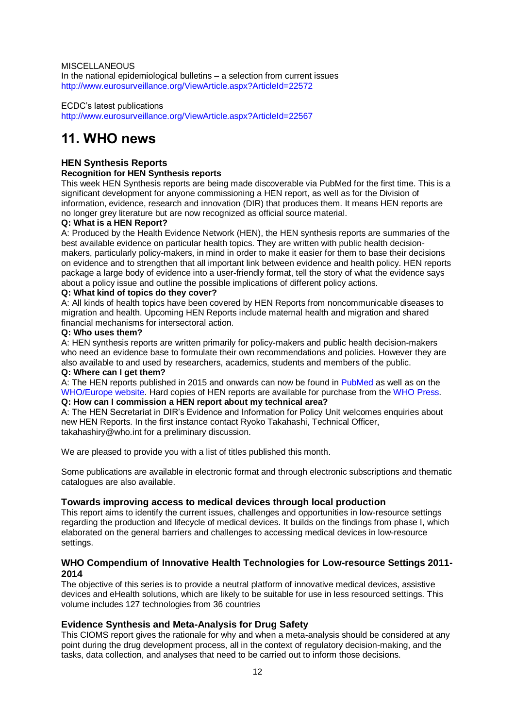MISCELLANEOUS In the national epidemiological bulletins – a selection from current issues <http://www.eurosurveillance.org/ViewArticle.aspx?ArticleId=22572>

ECDC's latest publications <http://www.eurosurveillance.org/ViewArticle.aspx?ArticleId=22567>

## <span id="page-11-0"></span>**11. WHO news**

## **HEN Synthesis Reports**

## **Recognition for HEN Synthesis reports**

This week HEN Synthesis reports are being made discoverable via PubMed for the first time. This is a significant development for anyone commissioning a HEN report, as well as for the Division of information, evidence, research and innovation (DIR) that produces them. It means HEN reports are no longer grey literature but are now recognized as official source material.

## **Q: What is a HEN Report?**

A: Produced by the Health Evidence Network (HEN), the HEN synthesis reports are summaries of the best available evidence on particular health topics. They are written with public health decisionmakers, particularly policy-makers, in mind in order to make it easier for them to base their decisions on evidence and to strengthen that all important link between evidence and health policy. HEN reports package a large body of evidence into a user-friendly format, tell the story of what the evidence says about a policy issue and outline the possible implications of different policy actions.

## **Q: What kind of topics do they cover?**

A: All kinds of health topics have been covered by HEN Reports from noncommunicable diseases to migration and health. Upcoming HEN Reports include maternal health and migration and shared financial mechanisms for intersectoral action.

## **Q: Who uses them?**

A: HEN synthesis reports are written primarily for policy-makers and public health decision-makers who need an evidence base to formulate their own recommendations and policies. However they are also available to and used by researchers, academics, students and members of the public.

## **Q: Where can I get them?**

A: The HEN reports published in 2015 and onwards can now be found in [PubMed](http://www.ncbi.nlm.nih.gov/books/NBK379477/) as well as on the [WHO/Europe website.](http://www.euro.who.int/en/data-and-evidence/evidence-informed-policy-making/publications/evidence-reports/evidence-reports) Hard copies of HEN reports are available for purchase from the [WHO Press.](http://apps.who.int/bookorders/) **Q: How can I commission a HEN report about my technical area?**

## A: The HEN Secretariat in DIR's Evidence and Information for Policy Unit welcomes enquiries about new HEN Reports. In the first instance contact Ryoko Takahashi, Technical Officer,

takahashiry@who.int for a preliminary discussion.

We are pleased to provide you with a [list of titles published this month.](http://www.who.int/bookorders/anglais/newpublications1.jsp?sesslan=1)

[Some publications are available in electronic format and through electronic subscriptions](http://apps.who.int/bookorders/anglais/ElectroProd1.jsp) and [thematic](http://www.who.int/bookorders/anglais/catalog1.jsp?sesslan=1)  [catalogues are also available.](http://www.who.int/bookorders/anglais/catalog1.jsp?sesslan=1)

## **[Towards improving access to medical devices through local production](http://apps.who.int/bookorders/anglais/detart1.jsp?codlan=1&codcol=93&codcch=351)**

This report aims to identify the current issues, challenges and opportunities in low-resource settings regarding the production and lifecycle of medical devices. It builds on the findings from phase I, which elaborated on the general barriers and challenges to accessing medical devices in low-resource settings.

## **[WHO Compendium of Innovative Health Technologies for Low-resource Settings 2011-](http://apps.who.int/bookorders/anglais/detart1.jsp?codlan=1&codcol=93&codcch=2288) [2014](http://apps.who.int/bookorders/anglais/detart1.jsp?codlan=1&codcol=93&codcch=2288)**

The objective of this series is to provide a neutral platform of innovative medical devices, assistive devices and eHealth solutions, which are likely to be suitable for use in less resourced settings. This volume includes 127 technologies from 36 countries

## **[Evidence Synthesis and Meta-Analysis for Drug Safety](http://apps.who.int/bookorders/anglais/detart1.jsp?codlan=1&codcol=84&codcch=33)**

This CIOMS report gives the rationale for why and when a meta-analysis should be considered at any point during the drug development process, all in the context of regulatory decision-making, and the tasks, data collection, and analyses that need to be carried out to inform those decisions.